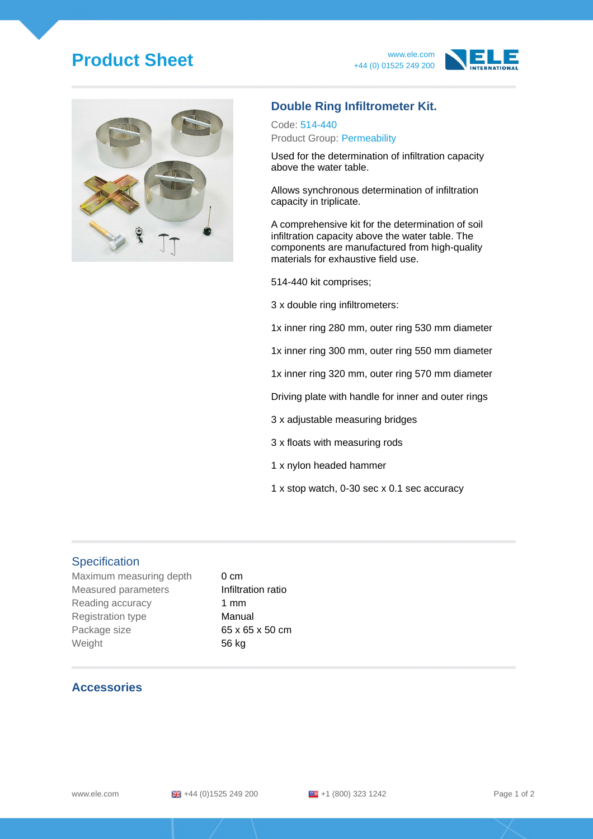# **Product Sheet** www.ele.com





### **Double Ring Infiltrometer Kit.**

Code: 514-440 Product Group: Permeability

Used for the determination of infiltration capacity above the water table.

Allows synchronous determination of infiltration capacity in triplicate.

A comprehensive kit for the determination of soil infiltration capacity above the water table. The components are manufactured from high-quality materials for exhaustive field use.

514-440 kit comprises;

3 x double ring infiltrometers:

1x inner ring 280 mm, outer ring 530 mm diameter

1x inner ring 300 mm, outer ring 550 mm diameter

1x inner ring 320 mm, outer ring 570 mm diameter

Driving plate with handle for inner and outer rings

3 x adjustable measuring bridges

3 x floats with measuring rods

- 1 x nylon headed hammer
- 1 x stop watch, 0-30 sec x 0.1 sec accuracy

#### **Specification**

Maximum measuring depth 0 cm Measured parameters **Infiltration ratio** Reading accuracy 1 mm Registration type **Manual** Package size 65 x 65 x 50 cm Weight 56 kg

#### **Accessories**